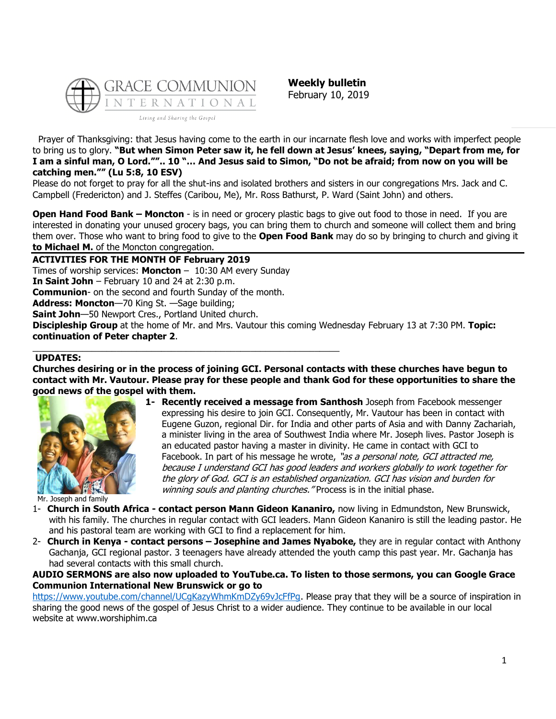

**Weekly bulletin** February 10, 2019

Prayer of Thanksgiving: that Jesus having come to the earth in our incarnate flesh love and works with imperfect people to bring us to glory. **"But when Simon Peter saw it, he fell down at Jesus' knees, saying, "Depart from me, for I am a sinful man, O Lord."".. 10 "… And Jesus said to Simon, "Do not be afraid; from now on you will be catching men."" (Lu 5:8, 10 ESV)**

Please do not forget to pray for all the shut-ins and isolated brothers and sisters in our congregations Mrs. Jack and C. Campbell (Fredericton) and J. Steffes (Caribou, Me), Mr. Ross Bathurst, P. Ward (Saint John) and others.

**Open Hand Food Bank – Moncton** - is in need or grocery plastic bags to give out food to those in need. If you are interested in donating your unused grocery bags, you can bring them to church and someone will collect them and bring them over. Those who want to bring food to give to the **Open Food Bank** may do so by bringing to church and giving it **to Michael M.** of the Moncton congregation.

**ACTIVITIES FOR THE MONTH OF February 2019** Times of worship services: **Moncton** – 10:30 AM every Sunday **In Saint John** – February 10 and 24 at 2:30 p.m. **Communion**- on the second and fourth Sunday of the month.

\_\_\_\_\_\_\_\_\_\_\_\_\_\_\_\_\_\_\_\_\_\_\_\_\_\_\_\_\_\_\_\_\_\_\_\_\_\_\_\_\_\_\_\_\_\_\_\_\_\_\_\_\_\_\_\_\_\_\_\_\_\_

**Address: Moncton**—70 King St. —Sage building;

**Saint John**—50 Newport Cres., Portland United church.

**Discipleship Group** at the home of Mr. and Mrs. Vautour this coming Wednesday February 13 at 7:30 PM. **Topic: continuation of Peter chapter 2**.

#### **UPDATES:**

**Churches desiring or in the process of joining GCI. Personal contacts with these churches have begun to contact with Mr. Vautour. Please pray for these people and thank God for these opportunities to share the good news of the gospel with them.**



**1- Recently received a message from Santhosh** Joseph from Facebook messenger expressing his desire to join GCI. Consequently, Mr. Vautour has been in contact with Eugene Guzon, regional Dir. for India and other parts of Asia and with Danny Zachariah, a minister living in the area of Southwest India where Mr. Joseph lives. Pastor Joseph is an educated pastor having a master in divinity. He came in contact with GCI to Facebook. In part of his message he wrote, "as a personal note, GCI attracted me, because I understand GCI has good leaders and workers globally to work together for the glory of God. GCI is an established organization. GCI has vision and burden for winning souls and planting churches. "Process is in the initial phase.

Mr. Joseph and family

- 1- **Church in South Africa - contact person Mann Gideon Kananiro,** now living in Edmundston, New Brunswick, with his family. The churches in regular contact with GCI leaders. Mann Gideon Kananiro is still the leading pastor. He and his pastoral team are working with GCI to find a replacement for him.
- 2- **Church in Kenya - contact persons – Josephine and James Nyaboke,** they are in regular contact with Anthony Gachanja, GCI regional pastor. 3 teenagers have already attended the youth camp this past year. Mr. Gachanja has had several contacts with this small church.

**AUDIO SERMONS are also now uploaded to YouTube.ca. To listen to those sermons, you can Google Grace Communion International New Brunswick or go to** 

[https://www.youtube.com/channel/UCgKazyWhmKmDZy69vJcFfPg.](https://www.youtube.com/channel/UCgKazyWhmKmDZy69vJcFfPg) Please pray that they will be a source of inspiration in sharing the good news of the gospel of Jesus Christ to a wider audience. They continue to be available in our local website at www.worshiphim.ca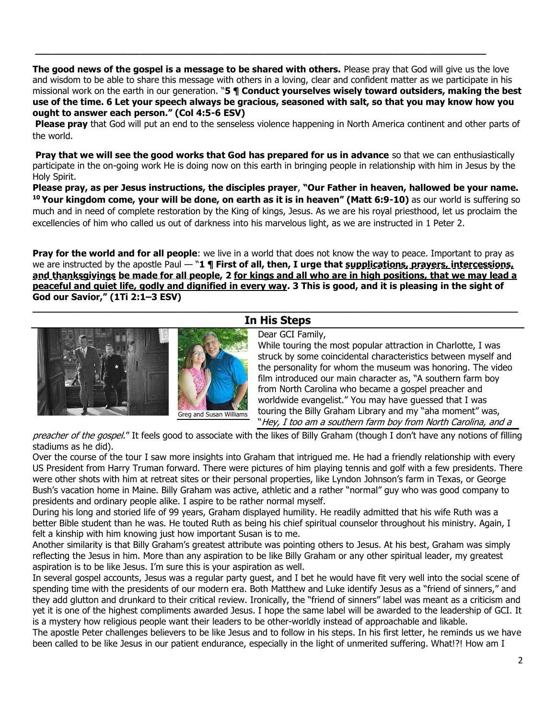**The good news of the gospel is a message to be shared with others.** Please pray that God will give us the love and wisdom to be able to share this message with others in a loving, clear and confident matter as we participate in his missional work on the earth in our generation. "**5 ¶ Conduct yourselves wisely toward outsiders, making the best use of the time. 6 Let your speech always be gracious, seasoned with salt, so that you may know how you ought to answer each person." (Col 4:5-6 ESV)**

**\_\_\_\_\_\_\_\_\_\_\_\_\_\_\_\_\_\_\_\_\_\_\_\_\_\_\_\_\_\_\_\_\_\_\_\_\_\_\_\_\_\_\_\_\_\_\_\_\_\_\_\_\_\_\_\_\_\_\_\_\_\_\_\_\_\_\_\_\_\_\_\_\_\_\_\_\_\_**

**Please pray** that God will put an end to the senseless violence happening in North America continent and other parts of the world.

**Pray that we will see the good works that God has prepared for us in advance** so that we can enthusiastically participate in the on-going work He is doing now on this earth in bringing people in relationship with him in Jesus by the Holy Spirit.

**Please pray, as per Jesus instructions, the disciples prayer**, **"Our Father in heaven, hallowed be your name. <sup>10</sup> Your kingdom come, your will be done, on earth as it is in heaven" (Matt 6:9-10)** as our world is suffering so much and in need of complete restoration by the King of kings, Jesus. As we are his royal priesthood, let us proclaim the excellencies of him who called us out of darkness into his marvelous light, as we are instructed in 1 Peter 2.

**Pray for the world and for all people**: we live in a world that does not know the way to peace. Important to pray as we are instructed by the apostle Paul — "1 **¶ First of all, then, I urge that supplications, prayers, intercessions, and thanksgivings be made for all people, 2 for kings and all who are in high positions, that we may lead a peaceful and quiet life, godly and dignified in every way. 3 This is good, and it is pleasing in the sight of God our Savior," (1Ti 2:1–3 ESV)**



### **\_\_\_\_\_\_\_\_\_\_\_\_\_\_\_\_\_\_\_\_\_\_\_\_\_\_\_\_\_\_\_\_\_\_\_\_\_\_\_\_\_\_\_\_\_\_\_\_\_\_\_\_\_\_\_\_\_\_\_\_\_\_\_\_\_\_\_\_\_\_\_\_\_\_\_\_\_\_\_\_\_\_\_\_ In His Steps**

#### Dear GCI Family,

While touring the most popular attraction in Charlotte, I was struck by some coincidental characteristics between myself and the personality for whom the museum was honoring. The video film introduced our main character as, "A southern farm boy from North Carolina who became a gospel preacher and worldwide evangelist." You may have guessed that I was touring the Billy Graham Library and my "aha moment" was, "Hey, I too am a southern farm boy from North Carolina, and a

preacher of the gospel." It feels good to associate with the likes of Billy Graham (though I don't have any notions of filling stadiums as he did).

Over the course of the tour I saw more insights into Graham that intrigued me. He had a friendly relationship with every US President from Harry Truman forward. There were pictures of him playing tennis and golf with a few presidents. There were other shots with him at retreat sites or their personal properties, like Lyndon Johnson's farm in Texas, or George Bush's vacation home in Maine. Billy Graham was active, athletic and a rather "normal" guy who was good company to presidents and ordinary people alike. I aspire to be rather normal myself.

During his long and storied life of 99 years, Graham displayed humility. He readily admitted that his wife Ruth was a better Bible student than he was. He touted Ruth as being his chief spiritual counselor throughout his ministry. Again, I felt a kinship with him knowing just how important Susan is to me.

Another similarity is that Billy Graham's greatest attribute was pointing others to Jesus. At his best, Graham was simply reflecting the Jesus in him. More than any aspiration to be like Billy Graham or any other spiritual leader, my greatest aspiration is to be like Jesus. I'm sure this is your aspiration as well.

In several gospel accounts, Jesus was a regular party guest, and I bet he would have fit very well into the social scene of spending time with the presidents of our modern era. Both Matthew and Luke identify Jesus as a "friend of sinners," and they add glutton and drunkard to their critical review. Ironically, the "friend of sinners" label was meant as a criticism and yet it is one of the highest compliments awarded Jesus. I hope the same label will be awarded to the leadership of GCI. It is a mystery how religious people want their leaders to be other-worldly instead of approachable and likable.

The apostle Peter challenges believers to be like Jesus and to follow in his steps. In his first letter, he reminds us we have been called to be like Jesus in our patient endurance, especially in the light of unmerited suffering. What!?! How am I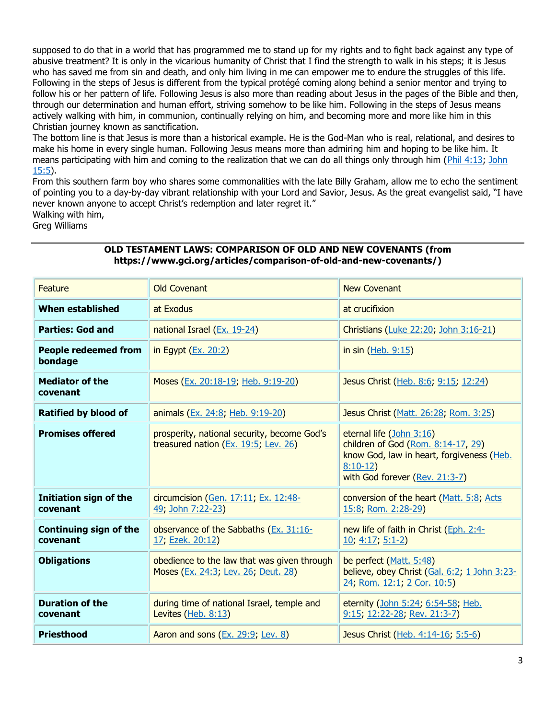supposed to do that in a world that has programmed me to stand up for my rights and to fight back against any type of abusive treatment? It is only in the vicarious humanity of Christ that I find the strength to walk in his steps; it is Jesus who has saved me from sin and death, and only him living in me can empower me to endure the struggles of this life. Following in the steps of Jesus is different from the typical protégé coming along behind a senior mentor and trying to follow his or her pattern of life. Following Jesus is also more than reading about Jesus in the pages of the Bible and then, through our determination and human effort, striving somehow to be like him. Following in the steps of Jesus means actively walking with him, in communion, continually relying on him, and becoming more and more like him in this Christian journey known as sanctification.

The bottom line is that Jesus is more than a historical example. He is the God-Man who is real, relational, and desires to make his home in every single human. Following Jesus means more than admiring him and hoping to be like him. It means participating with him and coming to the realization that we can do all things only through him [\(Phil 4:13;](https://biblia.com/bible/niv/Phil%204.13) [John](https://biblia.com/bible/niv/John%2015.5)  [15:5\)](https://biblia.com/bible/niv/John%2015.5).

From this southern farm boy who shares some commonalities with the late Billy Graham, allow me to echo the sentiment of pointing you to a day-by-day vibrant relationship with your Lord and Savior, Jesus. As the great evangelist said, "I have never known anyone to accept Christ's redemption and later regret it." Walking with him,

Greg Williams

**Feature Covenant Covenant Covenant Covenant Covenant Covenant Covenant Covenant** New Covenant **When established at Exodus at Exodus at crucifixion Parties: God and national Israel [\(Ex. 19-24\)](https://biblia.com/bible/niv/Exod.%2019-24)** Christians [\(Luke 22:20;](https://biblia.com/bible/niv/Luke%2022.20) [John 3:16-21\)](https://biblia.com/bible/niv/John%203.16-21) **People redeemed from bondage**  $\frac{1}{2}$  in Egypt [\(Ex. 20:2\)](https://biblia.com/bible/niv/Exod.%2020.2)  $\frac{1}{2}$  in sin [\(Heb. 9:15\)](https://biblia.com/bible/niv/Heb.%209.15) **Mediator of the covenant** Moses [\(Ex. 20:18-19;](https://biblia.com/bible/niv/Exod.%2020.18-19) [Heb. 9:19-20\)](https://biblia.com/bible/niv/Heb.%209.19-20) Jesus Christ [\(Heb. 8:6;](https://biblia.com/bible/niv/Heb.%208.6) [9:15;](https://biblia.com/bible/niv/Heb%209.15) [12:24\)](https://biblia.com/bible/niv/Heb%2012.24) **Ratified by blood of** animals [\(Ex. 24:8;](https://biblia.com/bible/niv/Exod.%2024.8) [Heb. 9:19-20\)](https://biblia.com/bible/niv/Heb.%209.19-20) **Jesus Christ [\(Matt. 26:28;](https://biblia.com/bible/niv/Matt.%2026.28) [Rom. 3:25\)](https://biblia.com/bible/niv/Rom.%203.25) Promises offered prosperity, national security, become God's** treasured nation [\(Ex. 19:5;](https://biblia.com/bible/niv/Exod.%2019.5) [Lev. 26\)](https://biblia.com/bible/niv/Lev.%2026) eternal life [\(John 3:16\)](https://biblia.com/bible/niv/John%203.16) children of God [\(Rom. 8:14-17,](https://biblia.com/bible/niv/Rom.%208.14-17) [29\)](https://biblia.com/bible/niv/Rom%208.29) know God, law in heart, forgiveness [\(Heb.](https://biblia.com/bible/niv/Heb.%208.10-12)  [8:10-12\)](https://biblia.com/bible/niv/Heb.%208.10-12) with God forever [\(Rev. 21:3-7\)](https://biblia.com/bible/niv/Rev.%2021.3-7) **Initiation sign of the covenant** circumcision [\(Gen. 17:11;](https://biblia.com/bible/niv/Gen.%2017.11) [Ex. 12:48-](https://biblia.com/bible/niv/Exod.%2012.48-49) [49;](https://biblia.com/bible/niv/Exod.%2012.48-49) [John 7:22-23\)](https://biblia.com/bible/niv/John%207.22-23) conversion of the heart [\(Matt. 5:8;](https://biblia.com/bible/niv/Matt.%205.8) [Acts](https://biblia.com/bible/niv/Acts%2015.8)  [15:8;](https://biblia.com/bible/niv/Acts%2015.8) [Rom. 2:28-29\)](https://biblia.com/bible/niv/Rom.%202.28-29) **Continuing sign of the covenant** observance of the Sabbaths [\(Ex. 31:16-](https://biblia.com/bible/niv/Exod.%2031.16-17) [17;](https://biblia.com/bible/niv/Exod.%2031.16-17) [Ezek. 20:12\)](https://biblia.com/bible/niv/Ezek.%2020.12) new life of faith in Christ [\(Eph. 2:4-](https://biblia.com/bible/niv/Eph.%202.4-10) [10;](https://biblia.com/bible/niv/Eph.%202.4-10) [4:17;](https://biblia.com/bible/niv/Eph%204.17) [5:1-2\)](https://biblia.com/bible/niv/Eph%205.1-2) **Obligations obedience to the law that was given through** Moses [\(Ex. 24:3;](https://biblia.com/bible/niv/Exod.%2024.3) [Lev. 26;](https://biblia.com/bible/niv/Lev.%2026) [Deut. 28\)](https://biblia.com/bible/niv/Deut.%2028) be perfect [\(Matt. 5:48\)](https://biblia.com/bible/niv/Matt.%205.48) believe, obey Christ [\(Gal. 6:2;](https://biblia.com/bible/niv/Gal.%206.2) [1 John 3:23-](https://biblia.com/bible/niv/1%20John%203.23-24) [24;](https://biblia.com/bible/niv/1%20John%203.23-24) [Rom. 12:1;](https://biblia.com/bible/niv/Rom.%2012.1) [2 Cor. 10:5\)](https://biblia.com/bible/niv/2%20Cor.%2010.5) **Duration of the covenant** during time of national Israel, temple and Levites [\(Heb. 8:13\)](https://biblia.com/bible/niv/Heb.%208.13) eternity [\(John 5:24;](https://biblia.com/bible/niv/John%205.24) [6:54-58;](https://biblia.com/bible/niv/John%206.54-58) [Heb.](https://biblia.com/bible/niv/Heb.%209.15)  [9:15;](https://biblia.com/bible/niv/Heb.%209.15) [12:22-28;](https://biblia.com/bible/niv/Heb%2012.22-28) [Rev. 21:3-7\)](https://biblia.com/bible/niv/Rev.%2021.3-7) **Priesthood** Aaron and sons [\(Ex. 29:9;](https://biblia.com/bible/niv/Exod.%2029.9) [Lev. 8\)](https://biblia.com/bible/niv/Lev.%208) **Jesus Christ** [\(Heb. 4:14-16;](https://biblia.com/bible/niv/Heb.%204.14-16) [5:5-6\)](https://biblia.com/bible/niv/Heb%205.5-6)

## **OLD TESTAMENT LAWS: COMPARISON OF OLD AND NEW COVENANTS (from https://www.gci.org/articles/comparison-of-old-and-new-covenants/)**